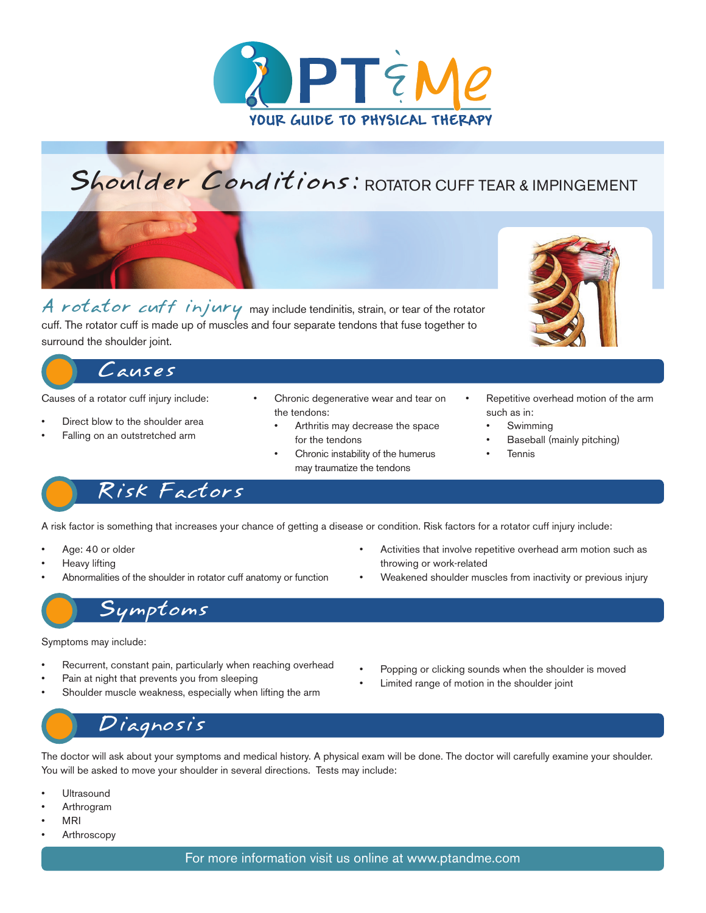

# Shoulder Conditions: ROTATOR CUFF TEAR & IMPINGEMENT

A rotator cuff injury may include tendinitis, strain, or tear of the rotator cuff. The rotator cuff is made up of muscles and four separate tendons that fuse together to surround the shoulder joint.



### Causes

Causes of a rotator cuff injury include:

- Direct blow to the shoulder area
- Falling on an outstretched arm
- Chronic degenerative wear and tear on the tendons:
	- Arthritis may decrease the space for the tendons
	- Chronic instability of the humerus may traumatize the tendons
- Repetitive overhead motion of the arm such as in:
- **Swimming**
- Baseball (mainly pitching)
- **Tennis**

## Risk Factors

A risk factor is something that increases your chance of getting a disease or condition. Risk factors for a rotator cuff injury include:

- Age: 40 or older
- Heavy lifting
- Abnormalities of the shoulder in rotator cuff anatomy or function
- Activities that involve repetitive overhead arm motion such as throwing or work-related
- Weakened shoulder muscles from inactivity or previous injury

# Symptoms

Symptoms may include:

- Recurrent, constant pain, particularly when reaching overhead
- Pain at night that prevents you from sleeping
- Shoulder muscle weakness, especially when lifting the arm
- Popping or clicking sounds when the shoulder is moved
- Limited range of motion in the shoulder joint

### Diagnosis

The doctor will ask about your symptoms and medical history. A physical exam will be done. The doctor will carefully examine your shoulder. You will be asked to move your shoulder in several directions. Tests may include:

- **Ultrasound**
- **Arthrogram**
- MRI
- **Arthroscopy**